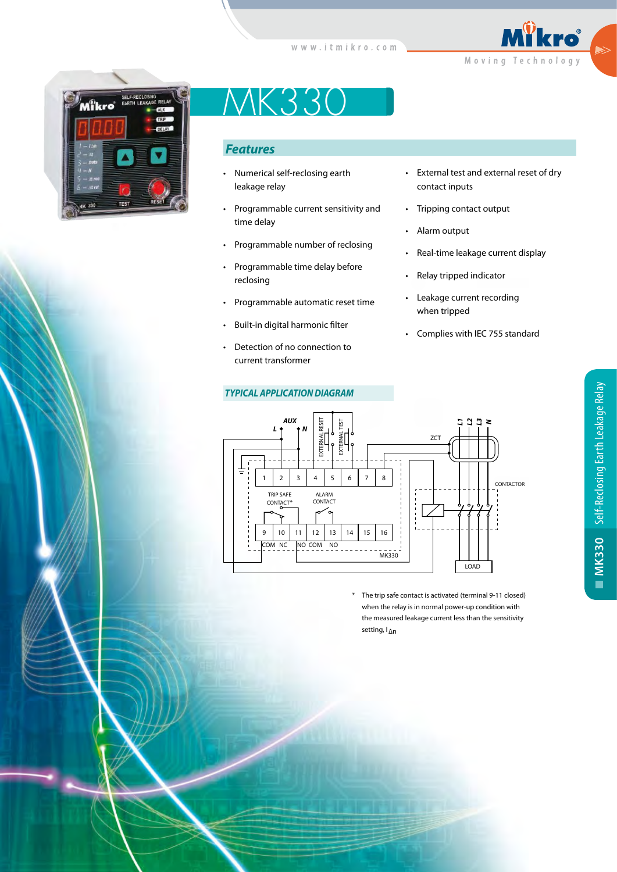



# MK330

# *Features*

- Numerical self-reclosing earth leakage relay
- Programmable current sensitivity and time delay
- Programmable number of reclosing
- Programmable time delay before reclosing
- Programmable automatic reset time
- Built-in digital harmonic filter
- Detection of no connection to current transformer
- *TYPICAL APPLICATION DIAGRAM*
- External test and external reset of dry contact inputs
- Tripping contact output
- Alarm output
- Real-time leakage current display
- Relay tripped indicator
- Leakage current recording when tripped
- Complies with IEC 755 standard



 \* The trip safe contact is activated (terminal 9-11 closed) when the relay is in normal power-up condition with the measured leakage current less than the sensitivity setting, I∆n